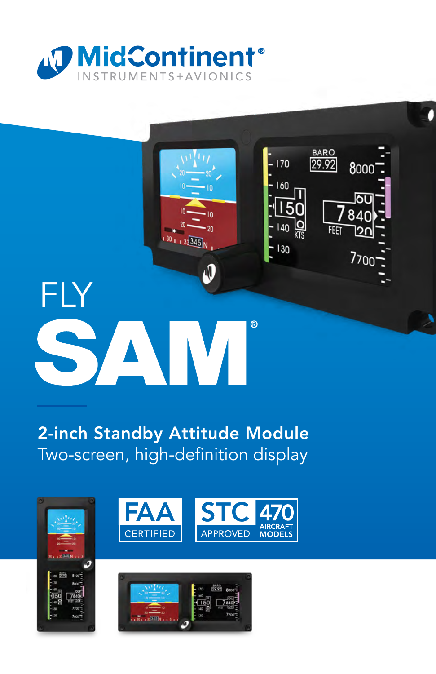



### 2-inch Standby Attitude Module Two-screen, high-definition display





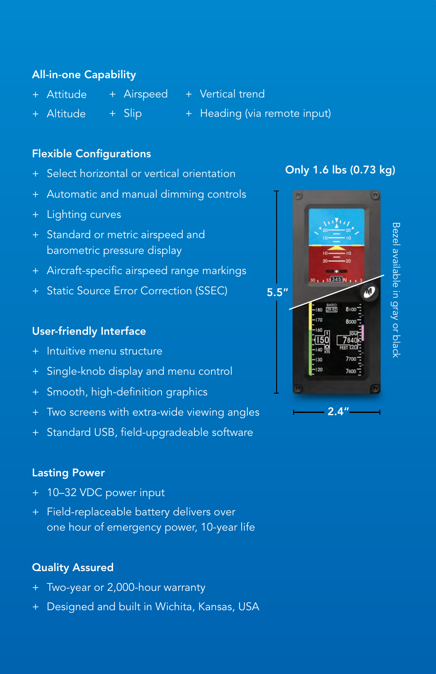#### All-in-one Capability

- + Attitude
	-
	- + Airspeed + Vertical trend
- + Altitude + Slip
- + Heading (via remote input)

#### Flexible Configurations

- Select horizontal or vertical orientation
- + Automatic and manual dimming controls
- + Lighting curves
- + Standard or metric airspeed and barometric pressure display
- + Aircraft-specific airspeed range markings
- + Static Source Error Correction (SSEC)

#### User-friendly Interface

- + Intuitive menu structure
- + Single-knob display and menu control
- + Smooth, high-definition graphics
- + Two screens with extra-wide viewing angles
- + Standard USB, field-upgradeable software

#### Lasting Power

- + 10–32 VDC power input
- + Field-replaceable battery delivers over one hour of emergency power, 10-year life

#### Quality Assured

- + Two-year or 2,000-hour warranty
- Designed and built in Wichita, Kansas, USA

#### Only 1.6 lbs (0.73 kg)

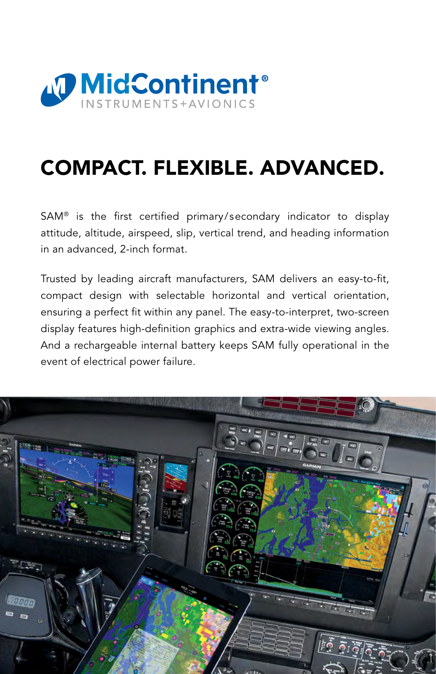

## COMPACT. FLEXIBLE. ADVANCED.

SAM® is the first certified primary/secondary indicator to display attitude, altitude, airspeed, slip, vertical trend, and heading information in an advanced, 2-inch format.

Trusted by leading aircraft manufacturers, SAM delivers an easy-to-fit, compact design with selectable horizontal and vertical orientation, ensuring a perfect fit within any panel. The easy-to-interpret, two-screen display features high-definition graphics and extra-wide viewing angles. And a rechargeable internal battery keeps SAM fully operational in the event of electrical power failure.